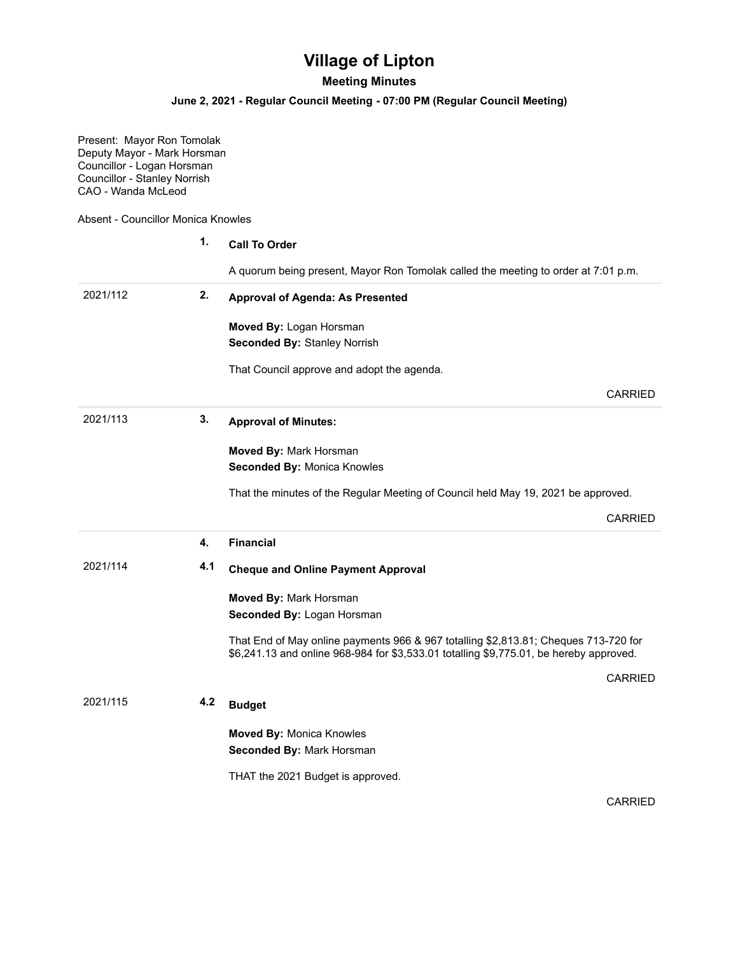## **Village of Lipton**

## **Meeting Minutes**

## **June 2, 2021 - Regular Council Meeting - 07:00 PM (Regular Council Meeting)**

Present: Mayor Ron Tomolak Deputy Mayor - Mark Horsman Councillor - Logan Horsman Councillor - Stanley Norrish CAO - Wanda McLeod

Absent - Councillor Monica Knowles

|          | 1.  | <b>Call To Order</b>                                                                                                                                                          |
|----------|-----|-------------------------------------------------------------------------------------------------------------------------------------------------------------------------------|
|          |     | A quorum being present, Mayor Ron Tomolak called the meeting to order at 7:01 p.m.                                                                                            |
| 2021/112 | 2.  | <b>Approval of Agenda: As Presented</b>                                                                                                                                       |
|          |     | Moved By: Logan Horsman                                                                                                                                                       |
|          |     | <b>Seconded By: Stanley Norrish</b>                                                                                                                                           |
|          |     | That Council approve and adopt the agenda.                                                                                                                                    |
|          |     | <b>CARRIED</b>                                                                                                                                                                |
| 2021/113 | 3.  | <b>Approval of Minutes:</b>                                                                                                                                                   |
|          |     | Moved By: Mark Horsman                                                                                                                                                        |
|          |     | Seconded By: Monica Knowles                                                                                                                                                   |
|          |     | That the minutes of the Regular Meeting of Council held May 19, 2021 be approved.                                                                                             |
|          |     | <b>CARRIED</b>                                                                                                                                                                |
|          | 4.  | <b>Financial</b>                                                                                                                                                              |
| 2021/114 | 4.1 | <b>Cheque and Online Payment Approval</b>                                                                                                                                     |
|          |     | Moved By: Mark Horsman                                                                                                                                                        |
|          |     | Seconded By: Logan Horsman                                                                                                                                                    |
|          |     | That End of May online payments 966 & 967 totalling \$2,813.81; Cheques 713-720 for<br>\$6,241.13 and online 968-984 for \$3,533.01 totalling \$9,775.01, be hereby approved. |
|          |     | <b>CARRIED</b>                                                                                                                                                                |
| 2021/115 | 4.2 | <b>Budget</b>                                                                                                                                                                 |
|          |     | <b>Moved By: Monica Knowles</b>                                                                                                                                               |
|          |     | Seconded By: Mark Horsman                                                                                                                                                     |
|          |     | THAT the 2021 Budget is approved.                                                                                                                                             |
|          |     | <b>CARRIED</b>                                                                                                                                                                |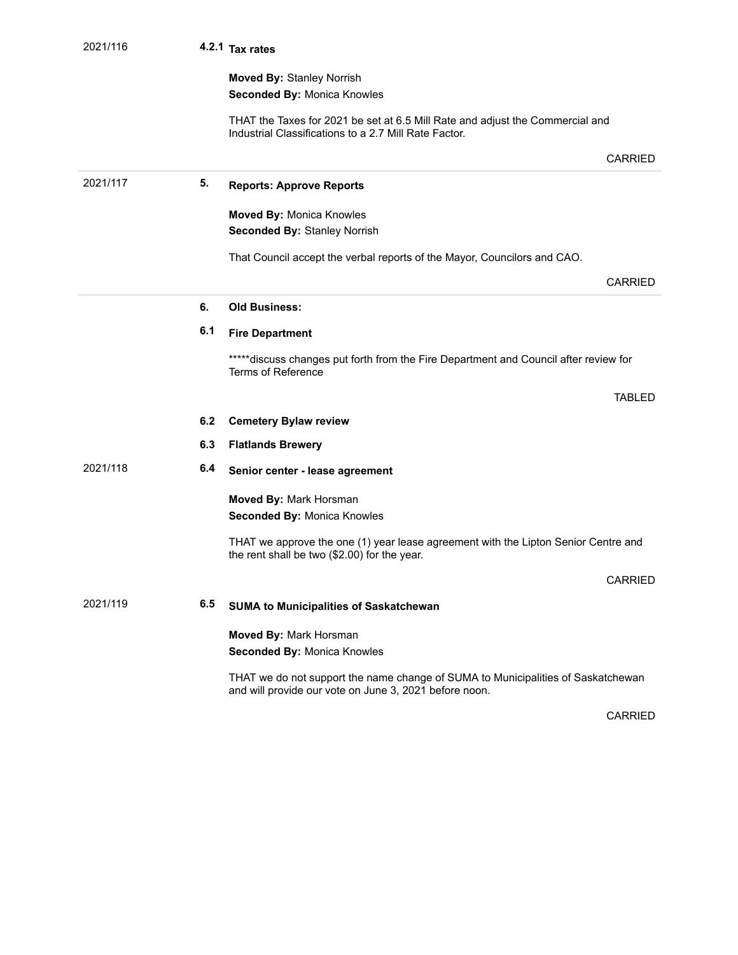| 2021/116 |     | 4.2.1 Tax rates                                                                                                                            |
|----------|-----|--------------------------------------------------------------------------------------------------------------------------------------------|
|          |     | <b>Moved By: Stanley Norrish</b>                                                                                                           |
|          |     | Seconded By: Monica Knowles                                                                                                                |
|          |     | THAT the Taxes for 2021 be set at 6.5 Mill Rate and adjust the Commercial and<br>Industrial Classifications to a 2.7 Mill Rate Factor.     |
|          |     | CARRIED                                                                                                                                    |
| 2021/117 | 5.  | <b>Reports: Approve Reports</b>                                                                                                            |
|          |     | <b>Moved By: Monica Knowles</b>                                                                                                            |
|          |     | <b>Seconded By: Stanley Norrish</b>                                                                                                        |
|          |     | That Council accept the verbal reports of the Mayor, Councilors and CAO.                                                                   |
|          |     | CARRIED                                                                                                                                    |
|          | 6.  | <b>Old Business:</b>                                                                                                                       |
|          | 6.1 | <b>Fire Department</b>                                                                                                                     |
|          |     | *****discuss changes put forth from the Fire Department and Council after review for<br>Terms of Reference                                 |
|          |     | <b>TABLED</b>                                                                                                                              |
|          | 6.2 | <b>Cemetery Bylaw review</b>                                                                                                               |
|          | 6.3 | <b>Flatlands Brewery</b>                                                                                                                   |
| 2021/118 | 6.4 | Senior center - lease agreement                                                                                                            |
|          |     | Moved By: Mark Horsman                                                                                                                     |
|          |     | Seconded By: Monica Knowles                                                                                                                |
|          |     | THAT we approve the one (1) year lease agreement with the Lipton Senior Centre and<br>the rent shall be two (\$2.00) for the year.         |
|          |     | CARRIED                                                                                                                                    |
| 2021/119 | 6.5 | <b>SUMA to Municipalities of Saskatchewan</b>                                                                                              |
|          |     | Moved By: Mark Horsman<br>Seconded By: Monica Knowles                                                                                      |
|          |     | THAT we do not support the name change of SUMA to Municipalities of Saskatchewan<br>and will provide our vote on June 3, 2021 before noon. |

CARRIED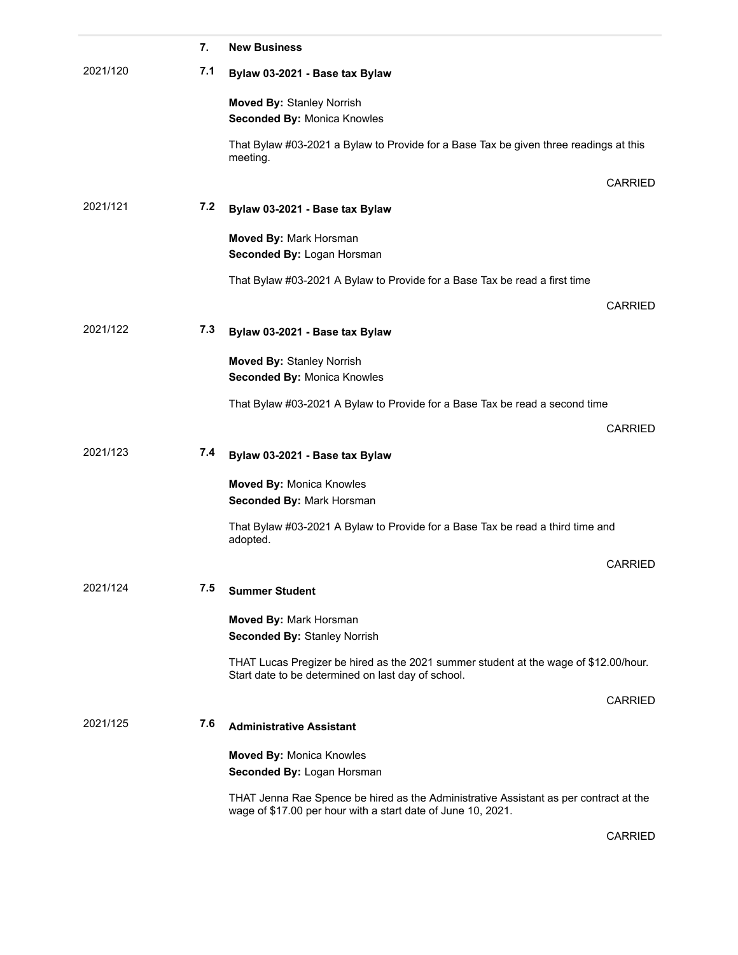|          | 7.  | <b>New Business</b>                                                                                                                                   |
|----------|-----|-------------------------------------------------------------------------------------------------------------------------------------------------------|
| 2021/120 | 7.1 | Bylaw 03-2021 - Base tax Bylaw                                                                                                                        |
|          |     | <b>Moved By: Stanley Norrish</b><br><b>Seconded By: Monica Knowles</b>                                                                                |
|          |     | That Bylaw #03-2021 a Bylaw to Provide for a Base Tax be given three readings at this<br>meeting.                                                     |
|          |     | CARRIED                                                                                                                                               |
| 2021/121 | 7.2 | Bylaw 03-2021 - Base tax Bylaw                                                                                                                        |
|          |     | Moved By: Mark Horsman<br>Seconded By: Logan Horsman                                                                                                  |
|          |     | That Bylaw #03-2021 A Bylaw to Provide for a Base Tax be read a first time                                                                            |
|          |     | <b>CARRIED</b>                                                                                                                                        |
| 2021/122 | 7.3 | Bylaw 03-2021 - Base tax Bylaw                                                                                                                        |
|          |     | <b>Moved By: Stanley Norrish</b><br><b>Seconded By: Monica Knowles</b>                                                                                |
|          |     | That Bylaw #03-2021 A Bylaw to Provide for a Base Tax be read a second time                                                                           |
|          |     | <b>CARRIED</b>                                                                                                                                        |
| 2021/123 | 7.4 | Bylaw 03-2021 - Base tax Bylaw                                                                                                                        |
|          |     | <b>Moved By: Monica Knowles</b><br>Seconded By: Mark Horsman                                                                                          |
|          |     | That Bylaw #03-2021 A Bylaw to Provide for a Base Tax be read a third time and<br>adopted.                                                            |
|          |     | <b>CARRIED</b>                                                                                                                                        |
| 2021/124 | 7.5 | <b>Summer Student</b>                                                                                                                                 |
|          |     | Moved By: Mark Horsman<br><b>Seconded By: Stanley Norrish</b>                                                                                         |
|          |     | THAT Lucas Pregizer be hired as the 2021 summer student at the wage of \$12.00/hour.<br>Start date to be determined on last day of school.            |
|          |     | <b>CARRIED</b>                                                                                                                                        |
| 2021/125 | 7.6 | <b>Administrative Assistant</b>                                                                                                                       |
|          |     | <b>Moved By: Monica Knowles</b><br>Seconded By: Logan Horsman                                                                                         |
|          |     | THAT Jenna Rae Spence be hired as the Administrative Assistant as per contract at the<br>wage of \$17.00 per hour with a start date of June 10, 2021. |

CARRIED